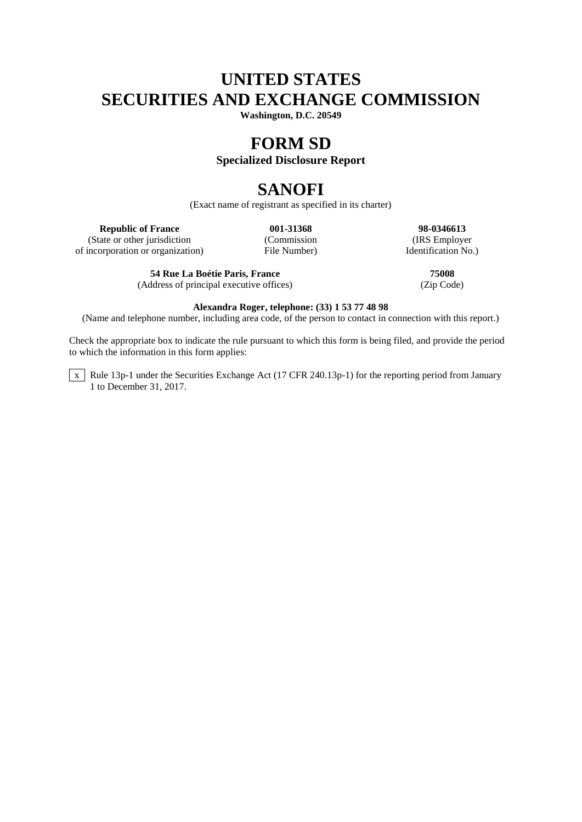# **UNITED STATES SECURITIES AND EXCHANGE COMMISSION**

**Washington, D.C. 20549**

## **FORM SD**

### **Specialized Disclosure Report**

# **SANOFI**

(Exact name of registrant as specified in its charter)

**Republic of France 001-31368 98-0346613**

(State or other jurisdiction (Commission (Commission (IRS Employer incorporation or organization) File Number)  $\blacksquare$  Employer  $\blacksquare$ of incorporation or organization)

**54 Rue La Boétie Paris, France 75008** (Address of principal executive offices) (Zip Code)

### **Alexandra Roger, telephone: (33) 1 53 77 48 98**

(Name and telephone number, including area code, of the person to contact in connection with this report.)

Check the appropriate box to indicate the rule pursuant to which this form is being filed, and provide the period to which the information in this form applies:

 $\overline{x}$  Rule 13p-1 under the Securities Exchange Act (17 CFR 240.13p-1) for the reporting period from January 1 to December 31, 2017.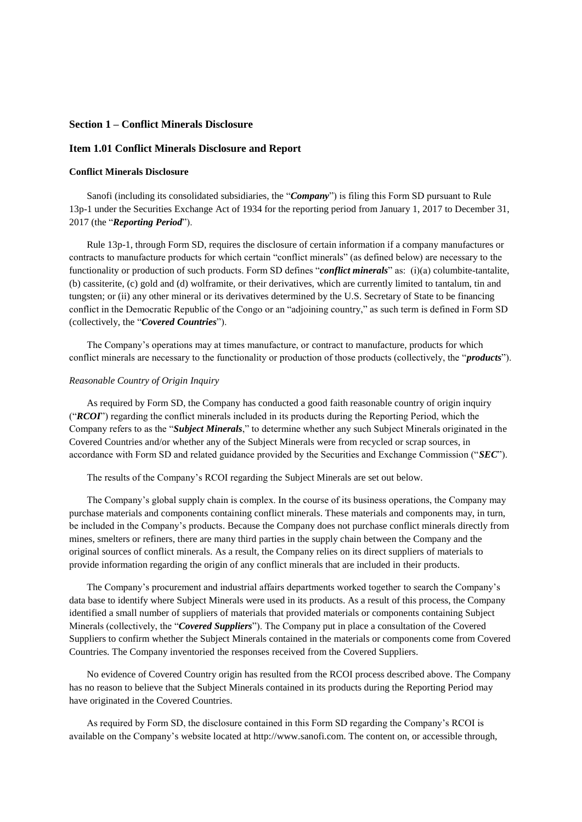### **Section 1 – Conflict Minerals Disclosure**

#### **Item 1.01 Conflict Minerals Disclosure and Report**

#### **Conflict Minerals Disclosure**

Sanofi (including its consolidated subsidiaries, the "*Company*") is filing this Form SD pursuant to Rule 13p-1 under the Securities Exchange Act of 1934 for the reporting period from January 1, 2017 to December 31, 2017 (the "*Reporting Period*").

Rule 13p-1, through Form SD, requires the disclosure of certain information if a company manufactures or contracts to manufacture products for which certain "conflict minerals" (as defined below) are necessary to the functionality or production of such products. Form SD defines "*conflict minerals*" as: (i)(a) columbite-tantalite, (b) cassiterite, (c) gold and (d) wolframite, or their derivatives, which are currently limited to tantalum, tin and tungsten; or (ii) any other mineral or its derivatives determined by the U.S. Secretary of State to be financing conflict in the Democratic Republic of the Congo or an "adjoining country," as such term is defined in Form SD (collectively, the "*Covered Countries*").

The Company's operations may at times manufacture, or contract to manufacture, products for which conflict minerals are necessary to the functionality or production of those products (collectively, the "*products*").

#### *Reasonable Country of Origin Inquiry*

As required by Form SD, the Company has conducted a good faith reasonable country of origin inquiry ("*RCOI*") regarding the conflict minerals included in its products during the Reporting Period, which the Company refers to as the "*Subject Minerals*," to determine whether any such Subject Minerals originated in the Covered Countries and/or whether any of the Subject Minerals were from recycled or scrap sources, in accordance with Form SD and related guidance provided by the Securities and Exchange Commission ("*SEC*").

The results of the Company's RCOI regarding the Subject Minerals are set out below.

The Company's global supply chain is complex. In the course of its business operations, the Company may purchase materials and components containing conflict minerals. These materials and components may, in turn, be included in the Company's products. Because the Company does not purchase conflict minerals directly from mines, smelters or refiners, there are many third parties in the supply chain between the Company and the original sources of conflict minerals. As a result, the Company relies on its direct suppliers of materials to provide information regarding the origin of any conflict minerals that are included in their products.

The Company's procurement and industrial affairs departments worked together to search the Company's data base to identify where Subject Minerals were used in its products. As a result of this process, the Company identified a small number of suppliers of materials that provided materials or components containing Subject Minerals (collectively, the "*Covered Suppliers*"). The Company put in place a consultation of the Covered Suppliers to confirm whether the Subject Minerals contained in the materials or components come from Covered Countries. The Company inventoried the responses received from the Covered Suppliers.

No evidence of Covered Country origin has resulted from the RCOI process described above. The Company has no reason to believe that the Subject Minerals contained in its products during the Reporting Period may have originated in the Covered Countries.

As required by Form SD, the disclosure contained in this Form SD regarding the Company's RCOI is available on the Company's website located at http://www.sanofi.com. The content on, or accessible through,